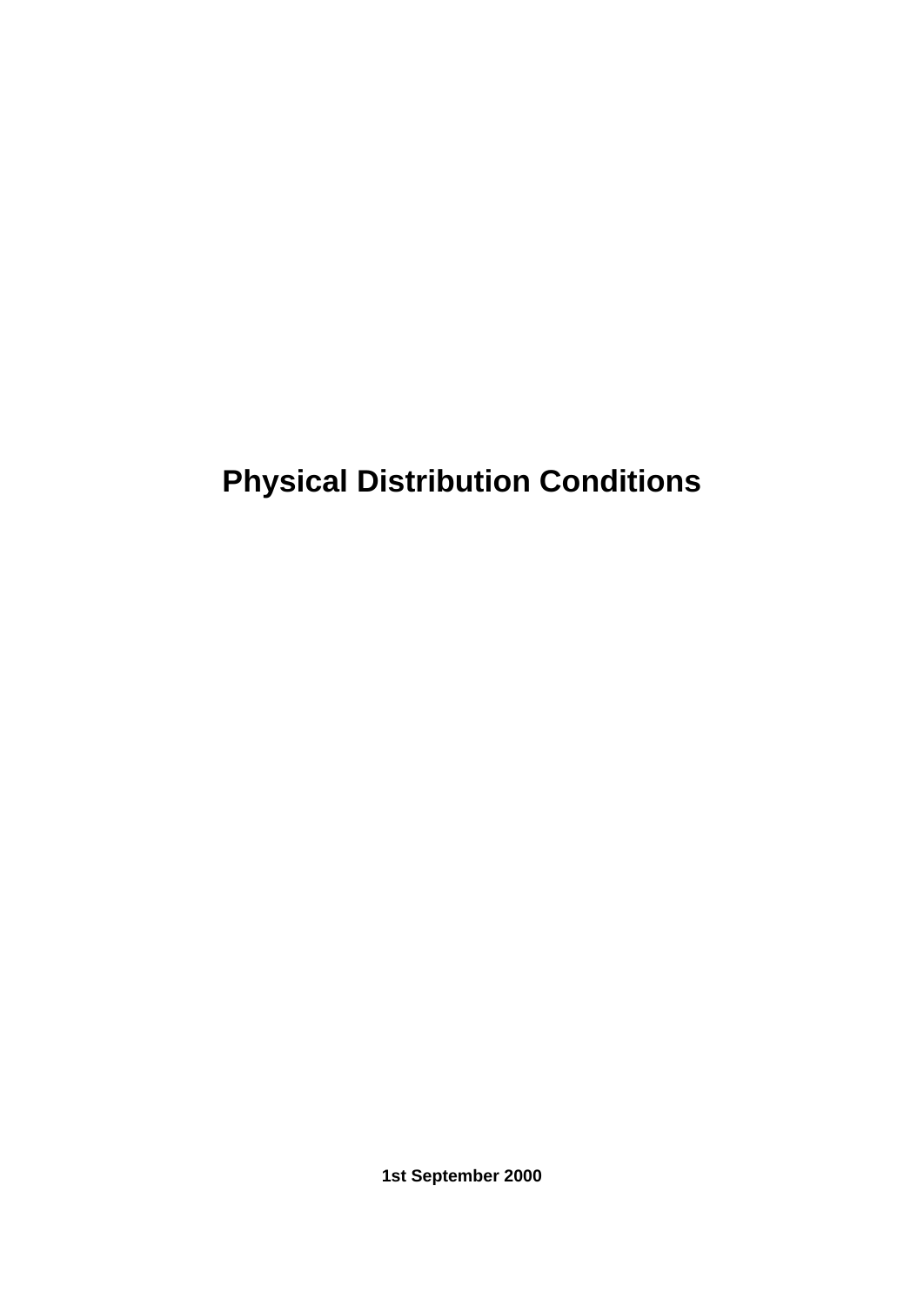**Physical Distribution Conditions**

**1st September 2000**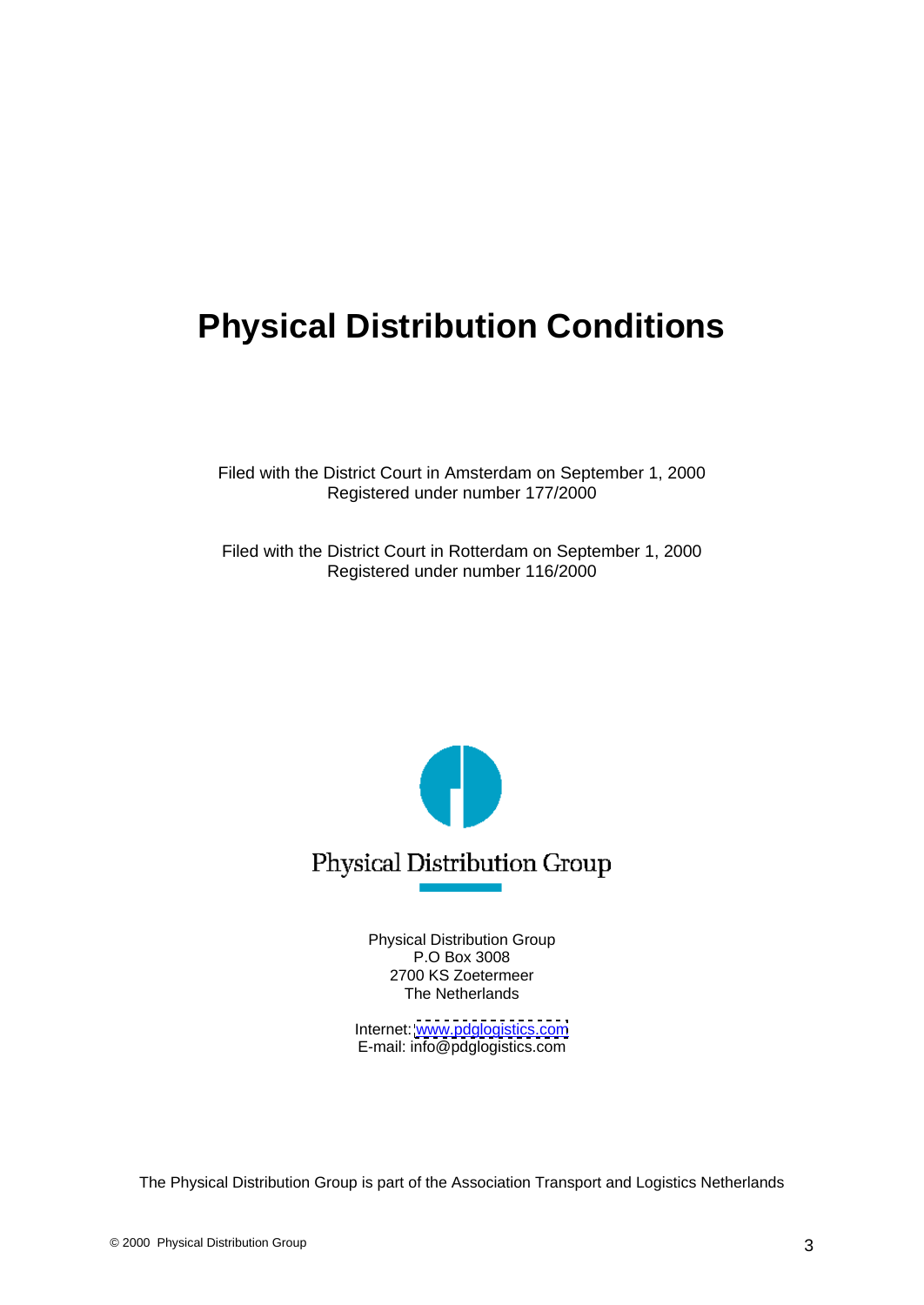## **Physical Distribution Conditions**

Filed with the District Court in Amsterdam on September 1, 2000 Registered under number 177/2000

Filed with the District Court in Rotterdam on September 1, 2000 Registered under number 116/2000



Physical Distribution Group P.O Box 3008 2700 KS Zoetermeer The Netherlands **The Netherlands The Netherlands** 

Internet: [www.pdglogistics.com](http://www.pdglogistics.com) **community** and the community of the community of the community of the community of the community of the community of the community of the community of the community of the community of the c E-mail: info@pdglogistics.com

The Physical Distribution Group is part of the Association Transport and Logistics Netherlands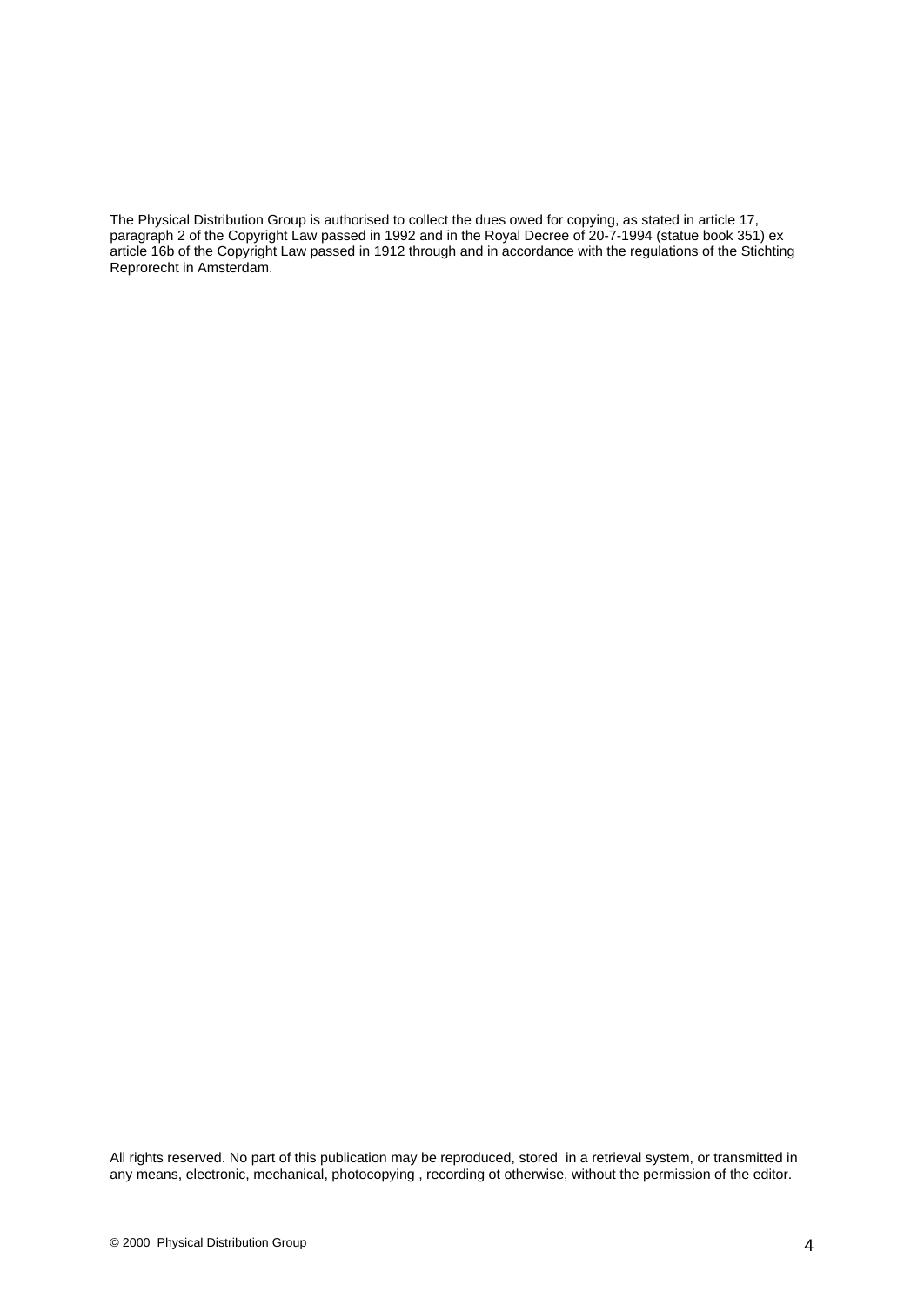The Physical Distribution Group is authorised to collect the dues owed for copying, as stated in article 17, paragraph 2 of the Copyright Law passed in 1992 and in the Royal Decree of 20-7-1994 (statue book 351) ex article 16b of the Copyright Law passed in 1912 through and in accordance with the regulations of the Stichting Reprorecht in Amsterdam.

All rights reserved. No part of this publication may be reproduced, stored in a retrieval system, or transmitted in any means, electronic, mechanical, photocopying , recording ot otherwise, without the permission of the editor.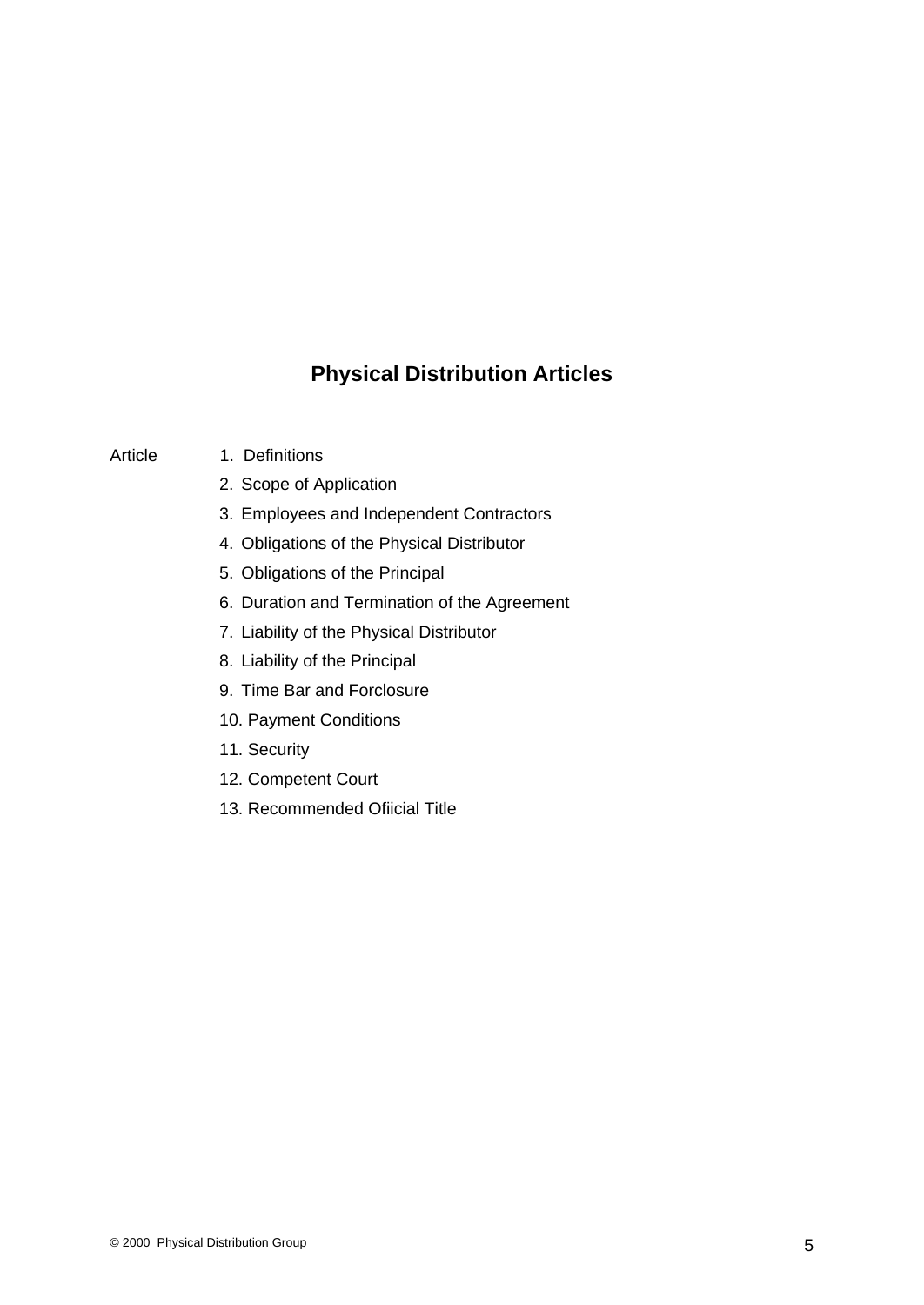### **Physical Distribution Articles**

- 
- Article 1. Definitions and the set of the set of the set of the set of the set of the set of the set of the set of the set of the set of the set of the set of the set of the set of the set of the set of the set of the set
	- 2. Scope of Application
	- 3. Employees and Independent Contractors
	- 4. Obligations of the Physical Distributor
	- 5. Obligations of the Principal
	- 6. Duration and Termination of the Agreement
	- 7. Liability of the Physical Distributor
	- 8. Liability of the Principal
	- 9. Time Bar and Forclosure
	- 10. Payment Conditions
	- 11. Security
	- 12. Competent Court
	- 13. Recommended Ofiicial Title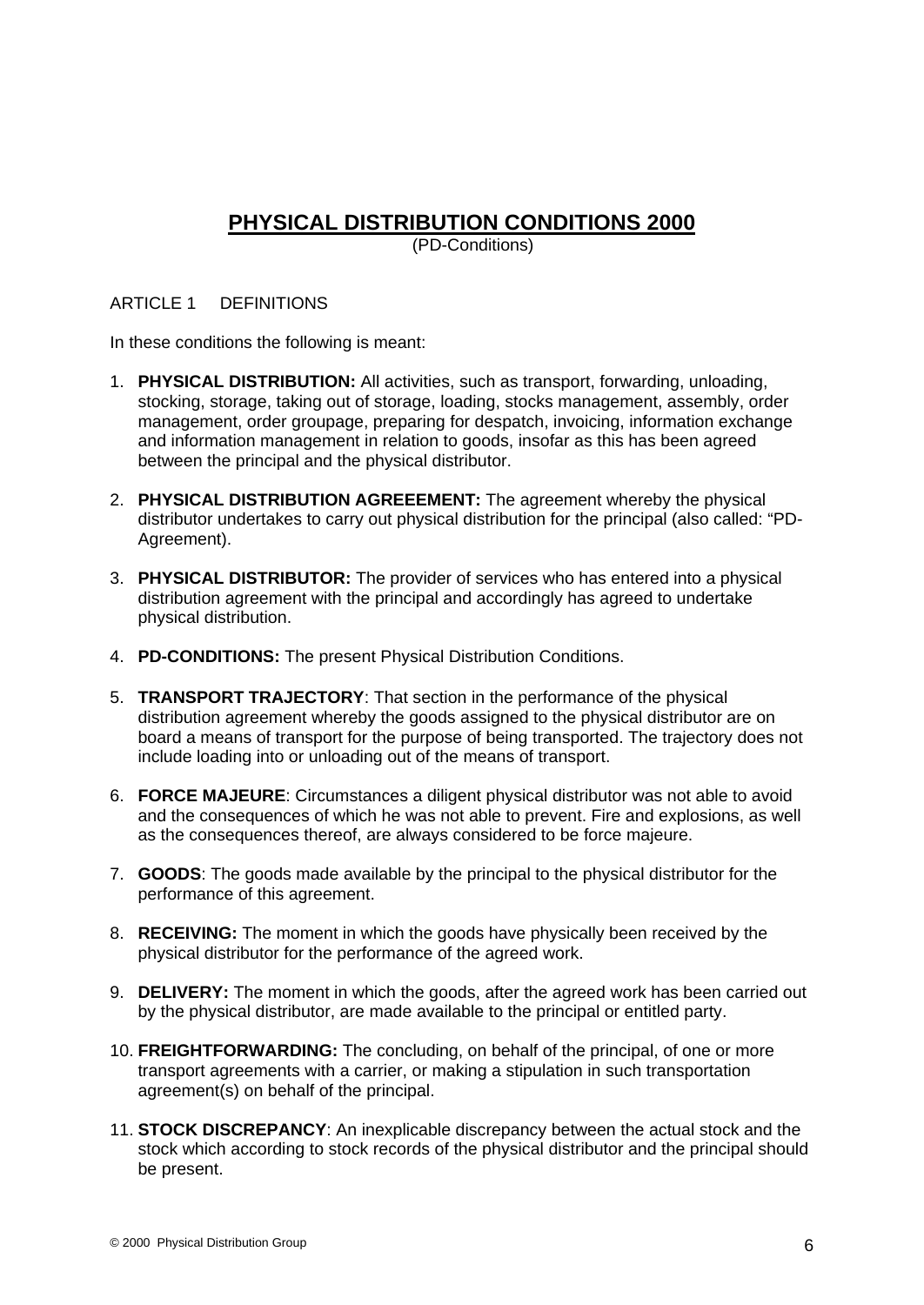# **PHYSICAL DISTRIBUTION CONDITIONS 2000**

(PD-Conditions)

#### ARTICLE 1 DEFINITIONS

In these conditions the following is meant:

- 1. **PHYSICAL DISTRIBUTION:** All activities, such as transport, forwarding, unloading, stocking, storage, taking out of storage, loading, stocks management, assembly, order management, order groupage, preparing for despatch, invoicing, information exchange and information management in relation to goods, insofar as this has been agreed between the principal and the physical distributor.
- 2. **PHYSICAL DISTRIBUTION AGREEEMENT:** The agreement whereby the physical distributor undertakes to carry out physical distribution for the principal (also called: "PD- Agreement).
- 3. **PHYSICAL DISTRIBUTOR:** The provider of services who has entered into a physical distribution agreement with the principal and accordingly has agreed to undertake physical distribution.
- 4. **PD-CONDITIONS:** The present Physical Distribution Conditions.
- 5. **TRANSPORT TRAJECTORY**: That section in the performance of the physical distribution agreement whereby the goods assigned to the physical distributor are on board a means of transport for the purpose of being transported. The trajectory does not include loading into or unloading out of the means of transport.
- 6. **FORCE MAJEURE**: Circumstances a diligent physical distributor was not able to avoid and the consequences of which he was not able to prevent. Fire and explosions, as well as the consequences thereof, are always considered to be force majeure.
- 7. **GOODS**: The goods made available by the principal to the physical distributor for the performance of this agreement.
- 8. **RECEIVING:** The moment in which the goods have physically been received by the physical distributor for the performance of the agreed work.
- 9. **DELIVERY:** The moment in which the goods, after the agreed work has been carried out by the physical distributor, are made available to the principal or entitled party.
- 10. **FREIGHTFORWARDING:** The concluding, on behalf of the principal, of one or more transport agreements with a carrier, or making a stipulation in such transportation agreement(s) on behalf of the principal.
- 11. **STOCK DISCREPANCY**: An inexplicable discrepancy between the actual stock and the stock which according to stock records of the physical distributor and the principal should be present.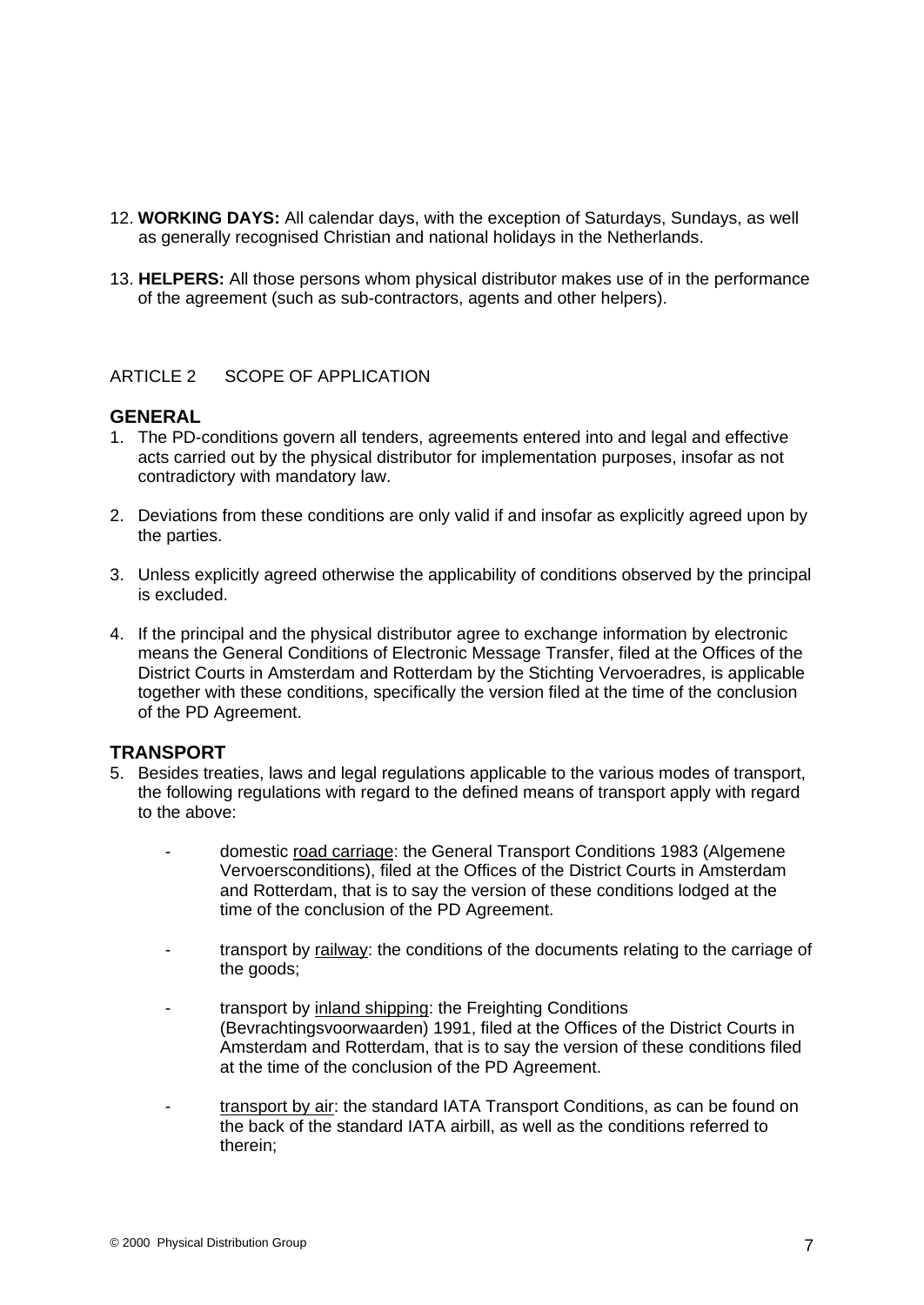- 12. **WORKING DAYS:** All calendar days, with the exception of Saturdays, Sundays, as well as generally recognised Christian and national holidays in the Netherlands.
- 13. **HELPERS:** All those persons whom physical distributor makes use of in the performance of the agreement (such as sub-contractors, agents and other helpers).

#### ARTICLE 2 SCOPE OF APPLICATION

#### **GENERAL**

- 1. The PD-conditions govern all tenders, agreements entered into and legal and effective acts carried out by the physical distributor for implementation purposes, insofar as not contradictory with mandatory law.
- 2. Deviations from these conditions are only valid if and insofar as explicitly agreed upon by the parties. The parties of the contract of the contract of the contract of the contract of the contract of the contract of the contract of the contract of the contract of the contract of the contract of the contract of th
- 3. Unless explicitly agreed otherwise the applicability of conditions observed by the principal is excluded is excluded.
- 4. If the principal and the physical distributor agree to exchange information by electronic means the General Conditions of Electronic Message Transfer, filed at the Offices of the District Courts in Amsterdam and Rotterdam by the Stichting Vervoeradres, is applicable together with these conditions, specifically the version filed at the time of the conclusion of the PD Agreement.

#### **TRANSPORT**

- 5. Besides treaties, laws and legal regulations applicable to the various modes of transport, the following regulations with regard to the defined means of transport apply with regard to the above:
	- domestic road carriage: the General Transport Conditions 1983 (Algemene Vervoersconditions), filed at the Offices of the District Courts in Amsterdam and Rotterdam, that is to say the version of these conditions lodged at the time of the conclusion of the PD Agreement.
	- transport by railway: the conditions of the documents relating to the carriage of the goods;
	- transport by inland shipping: the Freighting Conditions (Bevrachtingsvoorwaarden) 1991, filed at the Offices of the District Courts in Amsterdam and Rotterdam, that is to say the version of these conditions filed at the time of the conclusion of the PD Agreement.
	- transport by air: the standard IATA Transport Conditions, as can be found on the back of the standard IATA airbill, as well as the conditions referred to therein;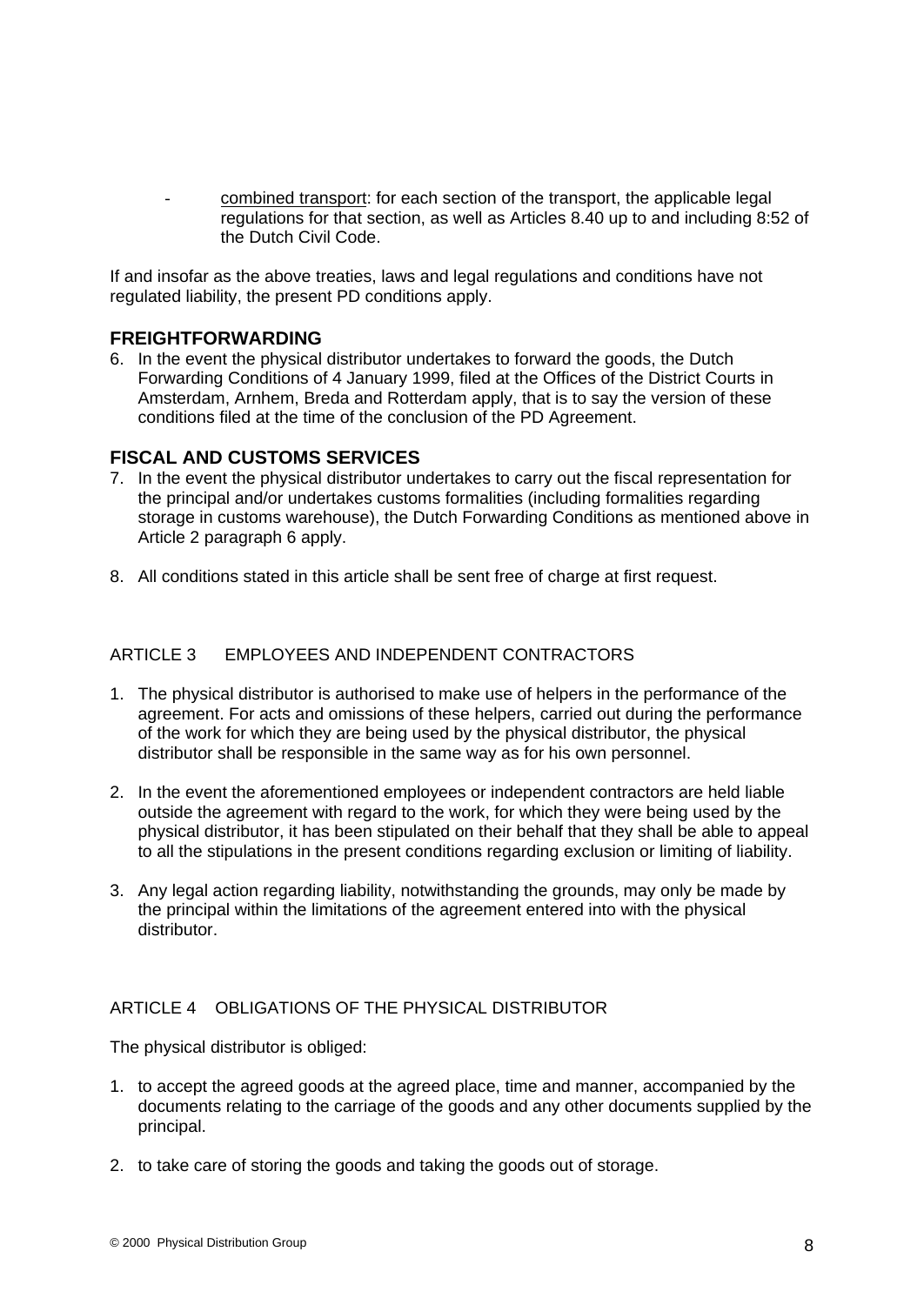combined transport: for each section of the transport, the applicable legal regulations for that section, as well as Articles 8.40 up to and including 8:52 of the Dutch Civil Code.

If and insofar as the above treaties, laws and legal regulations and conditions have not regulated liability, the present PD conditions apply.

#### **FREIGHTFORWARDING**

6. In the event the physical distributor undertakes to forward the goods, the Dutch Forwarding Conditions of 4 January 1999, filed at the Offices of the District Courts in Amsterdam, Arnhem, Breda and Rotterdam apply, that is to say the version of these conditions filed at the time of the conclusion of the PD Agreement.

#### **FISCAL AND CUSTOMS SERVICES**

- 7. In the event the physical distributor undertakes to carry out the fiscal representation for the principal and/or undertakes customs formalities (including formalities regarding storage in customs warehouse), the Dutch Forwarding Conditions as mentioned above in Article 2 paragraph 6 apply.
- 8. All conditions stated in this article shall be sent free of charge at first request.

#### ARTICLE 3 EMPLOYEES AND INDEPENDENT CONTRACTORS

- 1. The physical distributor is authorised to make use of helpers in the performance of the agreement. For acts and omissions of these helpers, carried out during the performance of the work for which they are being used by the physical distributor, the physical distributor shall be responsible in the same way as for his own personnel.
- 2. In the event the aforementioned employees or independent contractors are held liable outside the agreement with regard to the work, for which they were being used by the physical distributor, it has been stipulated on their behalf that they shall be able to appeal to all the stipulations in the present conditions regarding exclusion or limiting of liability.
- 3. Any legal action regarding liability, notwithstanding the grounds, may only be made by the principal within the limitations of the agreement entered into with the physical distributor.

#### ARTICLE 4 OBLIGATIONS OF THE PHYSICAL DISTRIBUTOR

The physical distributor is obliged:

- 1. to accept the agreed goods at the agreed place, time and manner, accompanied by the documents relating to the carriage of the goods and any other documents supplied by the principal.
- 2. to take care of storing the goods and taking the goods out of storage.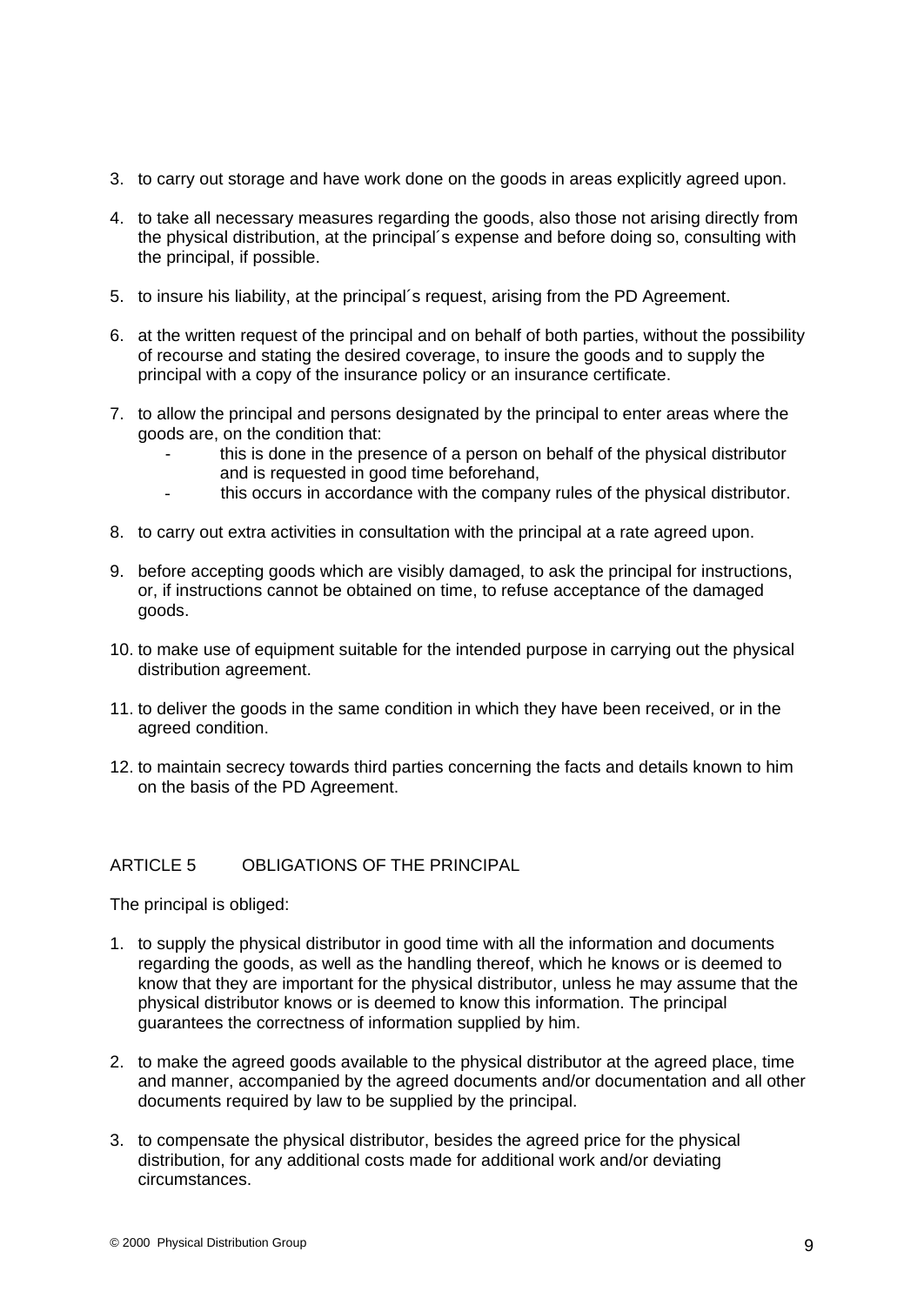- 3. to carry out storage and have work done on the goods in areas explicitly agreed upon.
- 4. to take all necessary measures regarding the goods, also those not arising directly from the physical distribution, at the principal´s expense and before doing so, consulting with the principal, if possible.
- 5. to insure his liability, at the principal´s request, arising from the PD Agreement.
- 6. at the written request of the principal and on behalf of both parties, without the possibility of recourse and stating the desired coverage, to insure the goods and to supply the principal with a copy of the insurance policy or an insurance certificate.
- 7. to allow the principal and persons designated by the principal to enter areas where the goods are, on the condition that:
	- this is done in the presence of a person on behalf of the physical distributor and is requested in good time beforehand,
	- this occurs in accordance with the company rules of the physical distributor.
- 8. to carry out extra activities in consultation with the principal at a rate agreed upon.
- 9. before accepting goods which are visibly damaged, to ask the principal for instructions, or, if instructions cannot be obtained on time, to refuse acceptance of the damaged goods.
- 10. to make use of equipment suitable for the intended purpose in carrying out the physical distribution agreement.
- 11. to deliver the goods in the same condition in which they have been received, or in the agreed condition.
- 12. to maintain secrecy towards third parties concerning the facts and details known to him on the basis of the PD Agreement.

#### ARTICLE 5 OBLIGATIONS OF THE PRINCIPAL

The principal is obliged:

- 1. to supply the physical distributor in good time with all the information and documents regarding the goods, as well as the handling thereof, which he knows or is deemed to know that they are important for the physical distributor, unless he may assume that the physical distributor knows or is deemed to know this information. The principal guarantees the correctness of information supplied by him.
- 2. to make the agreed goods available to the physical distributor at the agreed place, time and manner, accompanied by the agreed documents and/or documentation and all other documents required by law to be supplied by the principal.
- 3. to compensate the physical distributor, besides the agreed price for the physical distribution, for any additional costs made for additional work and/or deviating circumstances.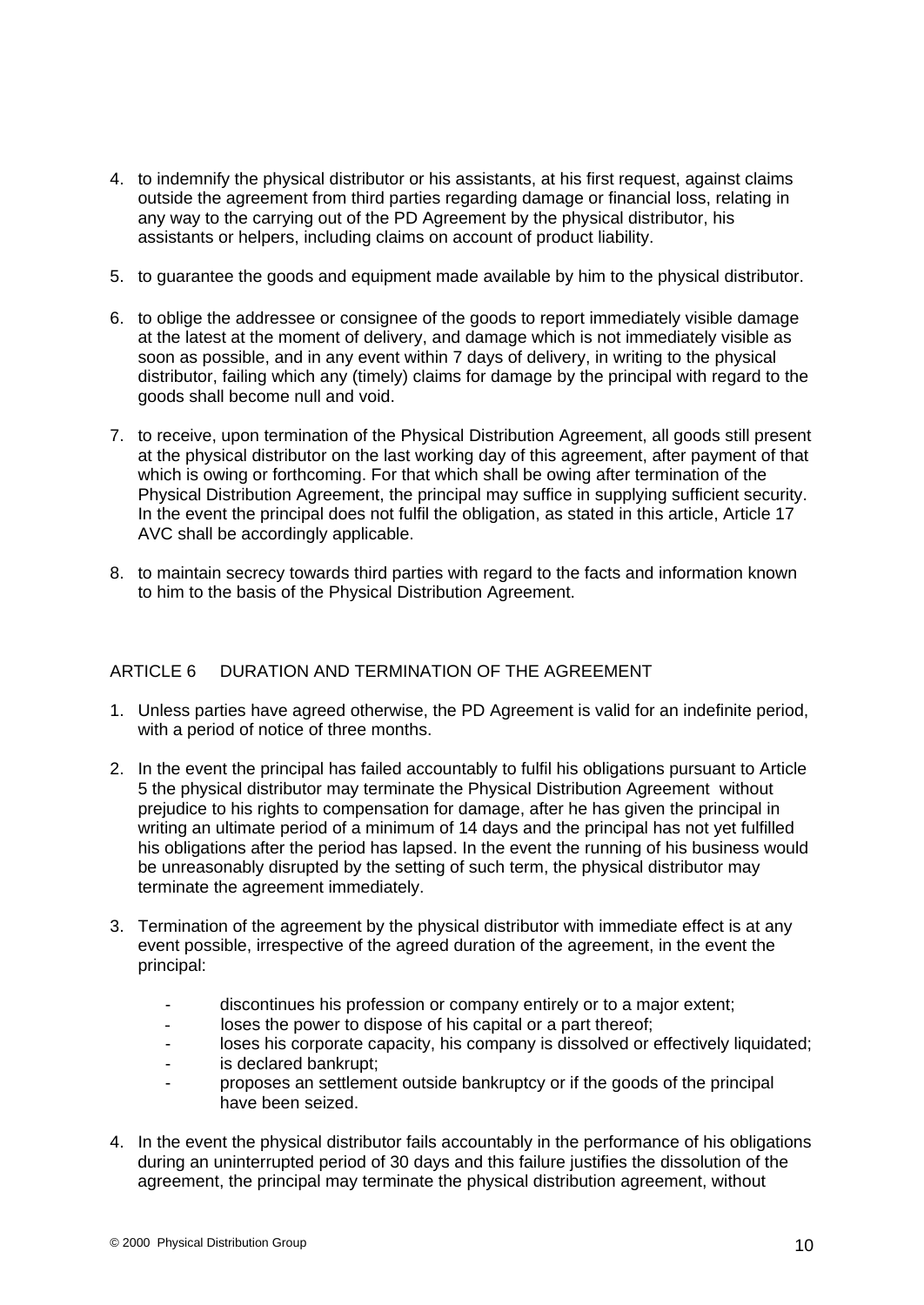- 4. to indemnify the physical distributor or his assistants, at his first request, against claims outside the agreement from third parties regarding damage or financial loss, relating in any way to the carrying out of the PD Agreement by the physical distributor, his assistants or helpers, including claims on account of product liability.
- 5. to guarantee the goods and equipment made available by him to the physical distributor.
- 6. to oblige the addressee or consignee of the goods to report immediately visible damage at the latest at the moment of delivery, and damage which is not immediately visible as soon as possible, and in any event within 7 days of delivery, in writing to the physical distributor, failing which any (timely) claims for damage by the principal with regard to the goods shall become null and void.
- 7. to receive, upon termination of the Physical Distribution Agreement, all goods still present at the physical distributor on the last working day of this agreement, after payment of that which is owing or forthcoming. For that which shall be owing after termination of the Physical Distribution Agreement, the principal may suffice in supplying sufficient security. In the event the principal does not fulfil the obligation, as stated in this article, Article 17 AVC shall be accordingly applicable.
- 8. to maintain secrecy towards third parties with regard to the facts and information known to him to the basis of the Physical Distribution Agreement.

#### ARTICLE 6 DURATION AND TERMINATION OF THE AGREEMENT

- 1. Unless parties have agreed otherwise, the PD Agreement is valid for an indefinite period, with a period of notice of three months.
- 2. In the event the principal has failed accountably to fulfil his obligations pursuant to Article 5 the physical distributor may terminate the Physical Distribution Agreement without prejudice to his rights to compensation for damage, after he has given the principal in writing an ultimate period of a minimum of 14 days and the principal has not yet fulfilled his obligations after the period has lapsed. In the event the running of his business would be unreasonably disrupted by the setting of such term, the physical distributor may terminate the agreement immediately.
- 3. Termination of the agreement by the physical distributor with immediate effect is at any event possible, irrespective of the agreed duration of the agreement, in the event the principal:<br>- discontinues his profession or company entirely or to a major extent;
	-
	- loses the power to dispose of his capital or a part thereof;
	- loses his corporate capacity, his company is dissolved or effectively liquidated;
	- is declared bankrupt;
	- proposes an settlement outside bankruptcy or if the goods of the principal have been seized.
- 4. In the event the physical distributor fails accountably in the performance of his obligations during an uninterrupted period of 30 days and this failure justifies the dissolution of the agreement, the principal may terminate the physical distribution agreement, without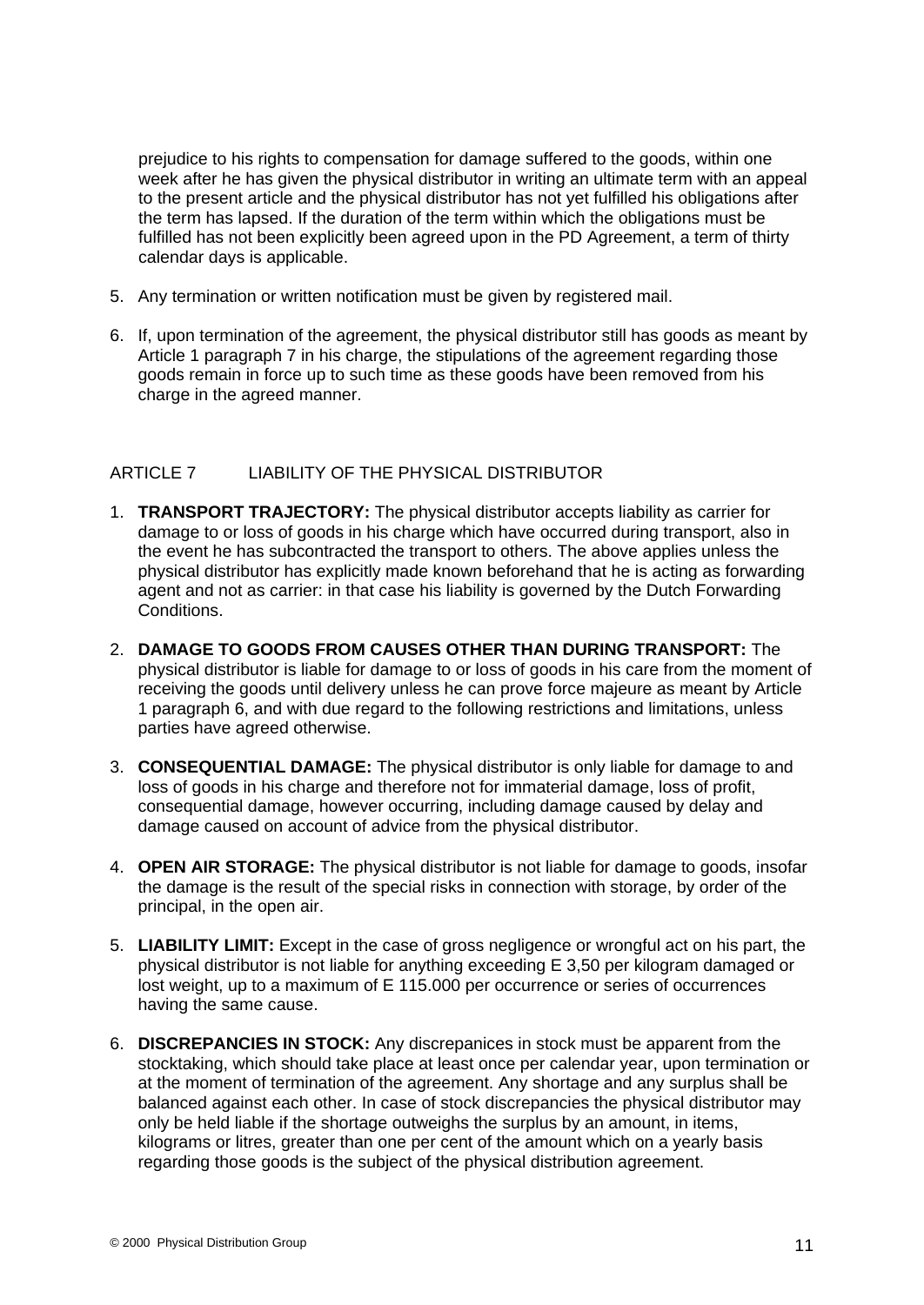prejudice to his rights to compensation for damage suffered to the goods, within one week after he has given the physical distributor in writing an ultimate term with an appeal to the present article and the physical distributor has not yet fulfilled his obligations after the term has lapsed. If the duration of the term within which the obligations must be fulfilled has not been explicitly been agreed upon in the PD Agreement, a term of thirty calendar days is applicable.

- 5. Any termination or written notification must be given by registered mail.
- 6. If, upon termination of the agreement, the physical distributor still has goods as meant by Article 1 paragraph 7 in his charge, the stipulations of the agreement regarding those goods remain in force up to such time as these goods have been removed from his charge in the agreed manner.

#### ARTICLE 7 LIABILITY OF THE PHYSICAL DISTRIBUTOR

- 1. **TRANSPORT TRAJECTORY:** The physical distributor accepts liability as carrier for damage to or loss of goods in his charge which have occurred during transport, also in the event he has subcontracted the transport to others. The above applies unless the physical distributor has explicitly made known beforehand that he is acting as forwarding agent and not as carrier: in that case his liability is governed by the Dutch Forwarding Conditions.
- 2. **DAMAGE TO GOODS FROM CAUSES OTHER THAN DURING TRANSPORT:** The physical distributor is liable for damage to or loss of goods in his care from the moment of receiving the goods until delivery unless he can prove force majeure as meant by Article 1 paragraph 6, and with due regard to the following restrictions and limitations, unless parties have agreed otherwise.
- 3. **CONSEQUENTIAL DAMAGE:** The physical distributor is only liable for damage to and loss of goods in his charge and therefore not for immaterial damage, loss of profit, consequential damage, however occurring, including damage caused by delay and damage caused on account of advice from the physical distributor.
- 4. **OPEN AIR STORAGE:** The physical distributor is not liable for damage to goods, insofar the damage is the result of the special risks in connection with storage, by order of the principal, in the open air.
- 5. **LIABILITY LIMIT:** Except in the case of gross negligence or wrongful act on his part, the physical distributor is not liable for anything exceeding E 3,50 per kilogram damaged or lost weight, up to a maximum of E 115.000 per occurrence or series of occurrences having the same cause.
- 6. **DISCREPANCIES IN STOCK:** Any discrepanices in stock must be apparent from the stocktaking, which should take place at least once per calendar year, upon termination or at the moment of termination of the agreement. Any shortage and any surplus shall be balanced against each other. In case of stock discrepancies the physical distributor may only be held liable if the shortage outweighs the surplus by an amount, in items, kilograms or litres, greater than one per cent of the amount which on a yearly basis regarding those goods is the subject of the physical distribution agreement.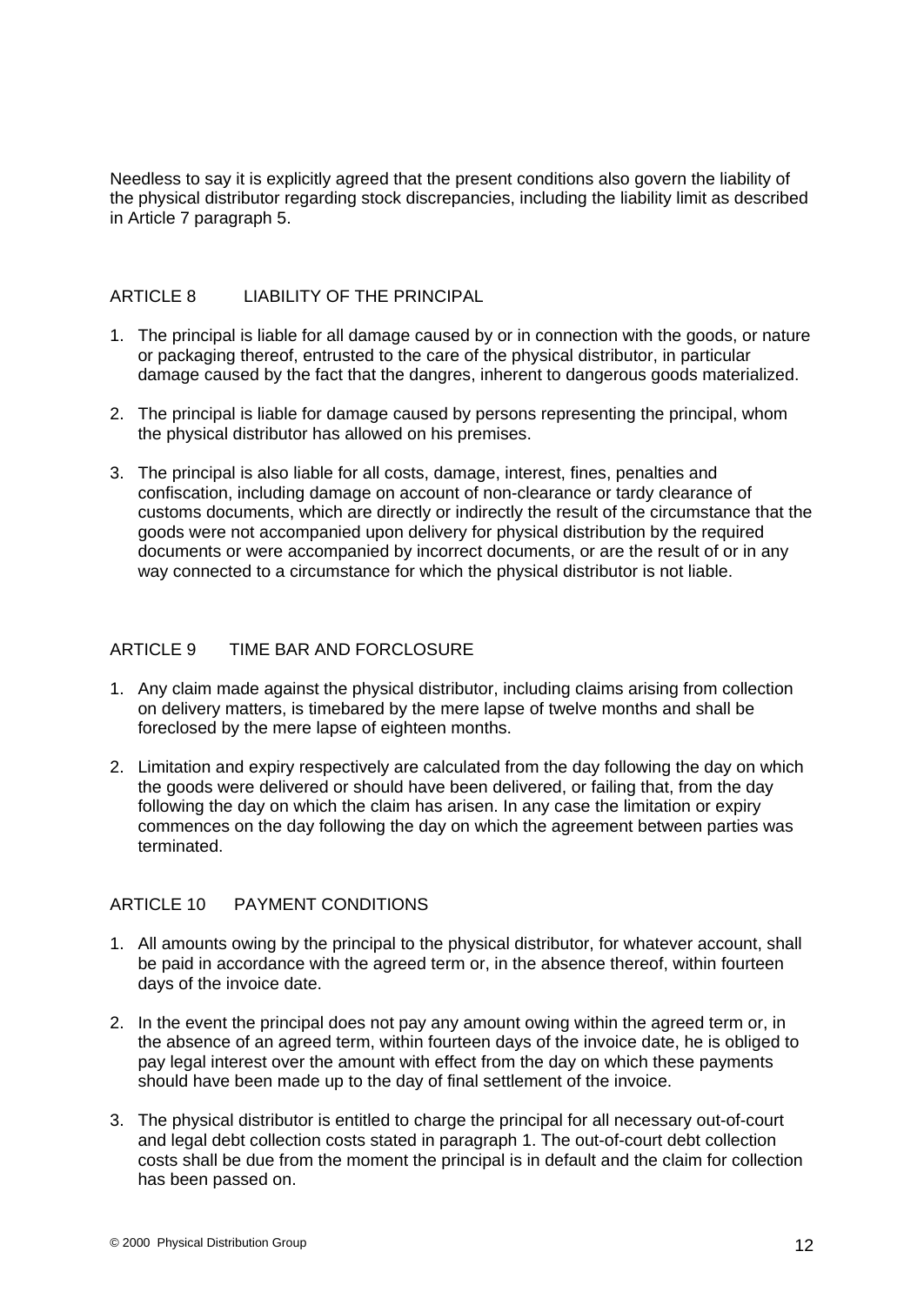Needless to say it is explicitly agreed that the present conditions also govern the liability of the physical distributor regarding stock discrepancies, including the liability limit as described in Article 7 paragraph 5.

#### ARTICLE 8 LIABILITY OF THE PRINCIPAL

- 1. The principal is liable for all damage caused by or in connection with the goods, or nature or packaging thereof, entrusted to the care of the physical distributor, in particular damage caused by the fact that the dangres, inherent to dangerous goods materialized.
- 2. The principal is liable for damage caused by persons representing the principal, whom the physical distributor has allowed on his premises.
- 3. The principal is also liable for all costs, damage, interest, fines, penalties and confiscation, including damage on account of non-clearance or tardy clearance of customs documents, which are directly or indirectly the result of the circumstance that the goods were not accompanied upon delivery for physical distribution by the required documents or were accompanied by incorrect documents, or are the result of or in any way connected to a circumstance for which the physical distributor is not liable.

#### ARTICLE 9 TIME BAR AND FORCLOSURE

- 1. Any claim made against the physical distributor, including claims arising from collection on delivery matters, is timebared by the mere lapse of twelve months and shall be foreclosed by the mere lapse of eighteen months.
- 2. Limitation and expiry respectively are calculated from the day following the day on which the goods were delivered or should have been delivered, or failing that, from the day following the day on which the claim has arisen. In any case the limitation or expiry commences on the day following the day on which the agreement between parties was terminated.

#### ARTICLE 10 PAYMENT CONDITIONS

- 1. All amounts owing by the principal to the physical distributor, for whatever account, shall be paid in accordance with the agreed term or, in the absence thereof, within fourteen days of the invoice date.
- 2. In the event the principal does not pay any amount owing within the agreed term or, in the absence of an agreed term, within fourteen days of the invoice date, he is obliged to pay legal interest over the amount with effect from the day on which these payments should have been made up to the day of final settlement of the invoice.
- 3. The physical distributor is entitled to charge the principal for all necessary out-of-court and legal debt collection costs stated in paragraph 1. The out-of-court debt collection costs shall be due from the moment the principal is in default and the claim for collection has been passed on.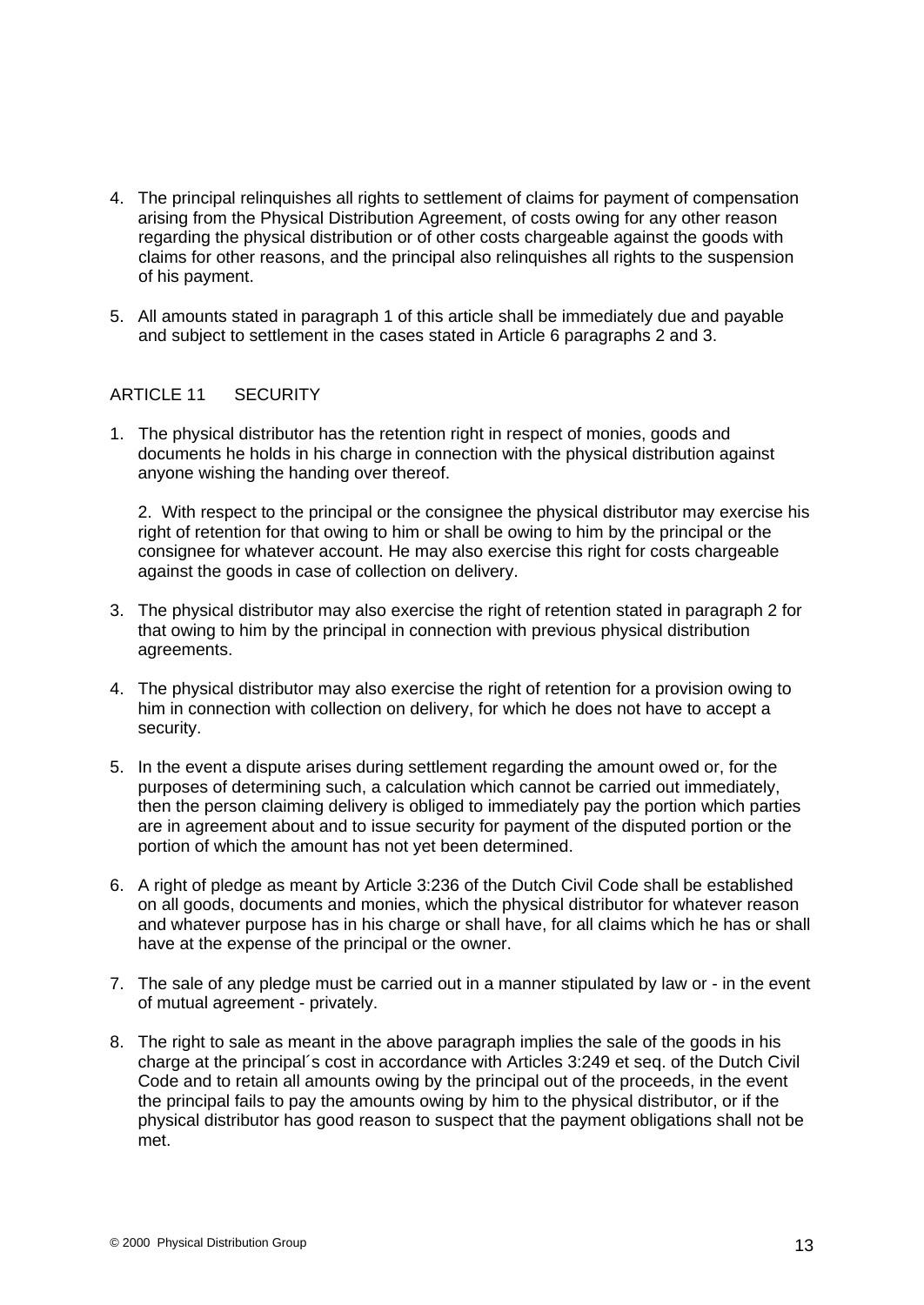- 4. The principal relinquishes all rights to settlement of claims for payment of compensation arising from the Physical Distribution Agreement, of costs owing for any other reason regarding the physical distribution or of other costs chargeable against the goods with claims for other reasons, and the principal also relinquishes all rights to the suspension of his payment.
- 5. All amounts stated in paragraph 1 of this article shall be immediately due and payable and subject to settlement in the cases stated in Article 6 paragraphs 2 and 3.

#### ARTICLE 11 SECURITY

1. The physical distributor has the retention right in respect of monies, goods and documents he holds in his charge in connection with the physical distribution against anyone wishing the handing over thereof.

2. With respect to the principal or the consignee the physical distributor may exercise his right of retention for that owing to him or shall be owing to him by the principal or the consignee for whatever account. He may also exercise this right for costs chargeable against the goods in case of collection on delivery.

- 3. The physical distributor may also exercise the right of retention stated in paragraph 2 for that owing to him by the principal in connection with previous physical distribution agreements.
- 4. The physical distributor may also exercise the right of retention for a provision owing to him in connection with collection on delivery, for which he does not have to accept a security. The contract of the contract of the contract of the contract of the contract of the contract of the contract of the contract of the contract of the contract of the contract of the contract of the contract of the
- 5. In the event a dispute arises during settlement regarding the amount owed or, for the purposes of determining such, a calculation which cannot be carried out immediately, then the person claiming delivery is obliged to immediately pay the portion which parties are in agreement about and to issue security for payment of the disputed portion or the portion of which the amount has not yet been determined.
- 6. A right of pledge as meant by Article 3:236 of the Dutch Civil Code shall be established on all goods, documents and monies, which the physical distributor for whatever reason and whatever purpose has in his charge or shall have, for all claims which he has or shall have at the expense of the principal or the owner.
- 7. The sale of any pledge must be carried out in a manner stipulated by law or in the event of mutual agreement - privately.
- 8. The right to sale as meant in the above paragraph implies the sale of the goods in his charge at the principal´s cost in accordance with Articles 3:249 et seq. of the Dutch Civil Code and to retain all amounts owing by the principal out of the proceeds, in the event the principal fails to pay the amounts owing by him to the physical distributor, or if the physical distributor has good reason to suspect that the payment obligations shall not be met.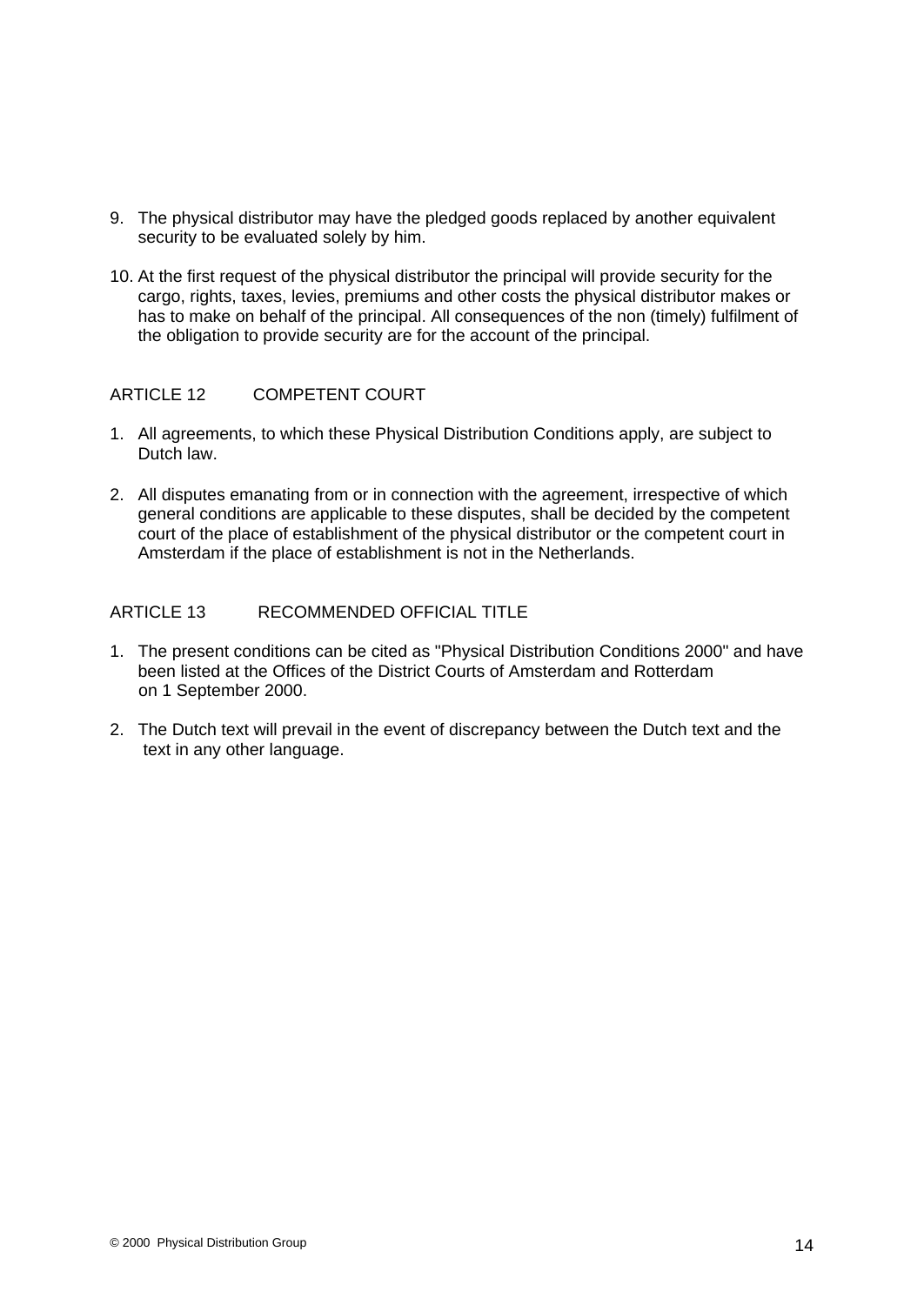- 9. The physical distributor may have the pledged goods replaced by another equivalent security to be evaluated solely by him.
- 10. At the first request of the physical distributor the principal will provide security for the cargo, rights, taxes, levies, premiums and other costs the physical distributor makes or has to make on behalf of the principal. All consequences of the non (timely) fulfilment of the obligation to provide security are for the account of the principal.

#### ARTICLE 12 COMPETENT COURT

- 1. All agreements, to which these Physical Distribution Conditions apply, are subject to Dutch law.
- 2. All disputes emanating from or in connection with the agreement, irrespective of which general conditions are applicable to these disputes, shall be decided by the competent court of the place of establishment of the physical distributor or the competent court in Amsterdam if the place of establishment is not in the Netherlands.

#### ARTICLE 13 RECOMMENDED OFFICIAL TITLE

- 1. The present conditions can be cited as "Physical Distribution Conditions 2000" and have been listed at the Offices of the District Courts of Amsterdam and Rotterdam on 1 September 2000.
- 2. The Dutch text will prevail in the event of discrepancy between the Dutch text and the text in any other language.